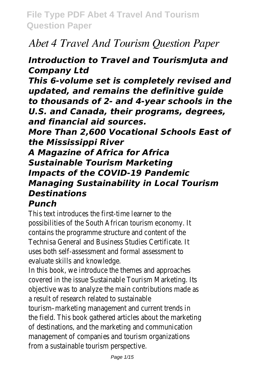# *Abet 4 Travel And Tourism Question Paper*

#### *Introduction to Travel and TourismJuta and Company Ltd*

*This 6-volume set is completely revised and updated, and remains the definitive guide to thousands of 2- and 4-year schools in the U.S. and Canada, their programs, degrees, and financial aid sources.*

*More Than 2,600 Vocational Schools East of the Mississippi River*

*A Magazine of Africa for Africa Sustainable Tourism Marketing Impacts of the COVID-19 Pandemic Managing Sustainability in Local Tourism Destinations Punch*

This text introduces the first-time learner to the possibilities of the South African tourism economy. It contains the programme structure and content of the Technisa General and Business Studies Certificate. It uses both self-assessment and formal assessment to evaluate skills and knowledge.

In this book, we introduce the themes and approaches covered in the issue Sustainable Tourism Marketing. Its objective was to analyze the main contributions made as a result of research related to sustainable

tourism–marketing management and current trends in the field. This book gathered articles about the marketing of destinations, and the marketing and communication management of companies and tourism organizations from a sustainable tourism perspective.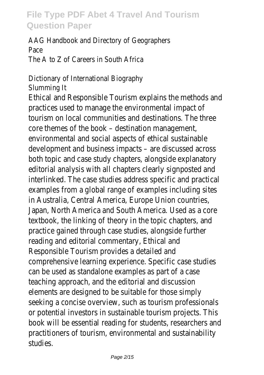AAG Handbook and Directory of Geographers Pace The A to Z of Careers in South Africa

Dictionary of International Biography Slumming It

Ethical and Responsible Tourism explains the methods and practices used to manage the environmental impact of tourism on local communities and destinations. The three core themes of the book – destination management, environmental and social aspects of ethical sustainable development and business impacts – are discussed across both topic and case study chapters, alongside explanatory editorial analysis with all chapters clearly signposted and interlinked. The case studies address specific and practical examples from a global range of examples including sites in Australia, Central America, Europe Union countries, Japan, North America and South America. Used as a core textbook, the linking of theory in the topic chapters, and practice gained through case studies, alongside further reading and editorial commentary, Ethical and Responsible Tourism provides a detailed and comprehensive learning experience. Specific case studies can be used as standalone examples as part of a case teaching approach, and the editorial and discussion elements are designed to be suitable for those simply seeking a concise overview, such as tourism professionals or potential investors in sustainable tourism projects. This book will be essential reading for students, researchers and practitioners of tourism, environmental and sustainability studies.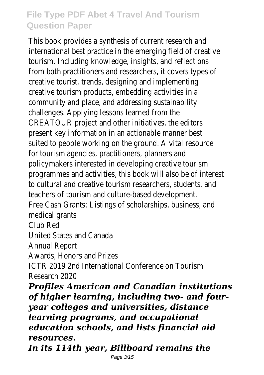This book provides a synthesis of current research and international best practice in the emerging field of creative tourism. Including knowledge, insights, and reflections from both practitioners and researchers, it covers types of creative tourist, trends, designing and implementing creative tourism products, embedding activities in a community and place, and addressing sustainability challenges. Applying lessons learned from the CREATOUR project and other initiatives, the editors present key information in an actionable manner best suited to people working on the ground. A vital resource for tourism agencies, practitioners, planners and policymakers interested in developing creative tourism programmes and activities, this book will also be of interest to cultural and creative tourism researchers, students, and teachers of tourism and culture-based development. Free Cash Grants: Listings of scholarships, business, and medical grants Club Red

United States and Canada

Annual Report

Awards, Honors and Prizes

ICTR 2019 2nd International Conference on Tourism Research 2020

*Profiles American and Canadian institutions of higher learning, including two- and fouryear colleges and universities, distance learning programs, and occupational education schools, and lists financial aid resources.*

*In its 114th year, Billboard remains the*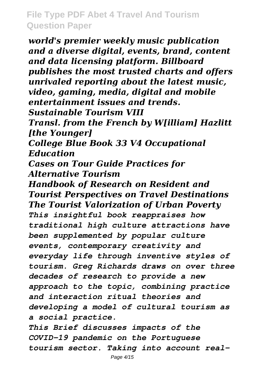*world's premier weekly music publication and a diverse digital, events, brand, content and data licensing platform. Billboard publishes the most trusted charts and offers unrivaled reporting about the latest music, video, gaming, media, digital and mobile entertainment issues and trends. Sustainable Tourism VIII Transl. from the French by W[illiam] Hazlitt [the Younger] College Blue Book 33 V4 Occupational Education Cases on Tour Guide Practices for Alternative Tourism Handbook of Research on Resident and Tourist Perspectives on Travel Destinations The Tourist Valorization of Urban Poverty This insightful book reappraises how traditional high culture attractions have been supplemented by popular culture events, contemporary creativity and everyday life through inventive styles of tourism. Greg Richards draws on over three decades of research to provide a new approach to the topic, combining practice and interaction ritual theories and developing a model of cultural tourism as a social practice.*

*This Brief discusses impacts of the COVID-19 pandemic on the Portuguese tourism sector. Taking into account real-*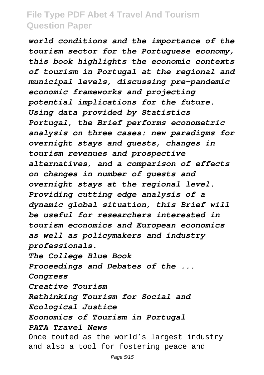*world conditions and the importance of the tourism sector for the Portuguese economy, this book highlights the economic contexts of tourism in Portugal at the regional and municipal levels, discussing pre-pandemic economic frameworks and projecting potential implications for the future. Using data provided by Statistics Portugal, the Brief performs econometric analysis on three cases: new paradigms for overnight stays and guests, changes in tourism revenues and prospective alternatives, and a comparison of effects on changes in number of guests and overnight stays at the regional level. Providing cutting edge analysis of a dynamic global situation, this Brief will be useful for researchers interested in tourism economics and European economics as well as policymakers and industry professionals. The College Blue Book Proceedings and Debates of the ... Congress Creative Tourism Rethinking Tourism for Social and Ecological Justice Economics of Tourism in Portugal PATA Travel News* Once touted as the world's largest industry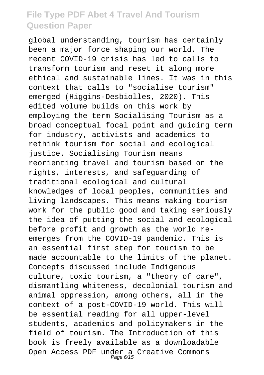global understanding, tourism has certainly been a major force shaping our world. The recent COVID-19 crisis has led to calls to transform tourism and reset it along more ethical and sustainable lines. It was in this context that calls to "socialise tourism" emerged (Higgins-Desbiolles, 2020). This edited volume builds on this work by employing the term Socialising Tourism as a broad conceptual focal point and guiding term for industry, activists and academics to rethink tourism for social and ecological justice. Socialising Tourism means reorienting travel and tourism based on the rights, interests, and safeguarding of traditional ecological and cultural knowledges of local peoples, communities and living landscapes. This means making tourism work for the public good and taking seriously the idea of putting the social and ecological before profit and growth as the world reemerges from the COVID-19 pandemic. This is an essential first step for tourism to be made accountable to the limits of the planet. Concepts discussed include Indigenous culture, toxic tourism, a "theory of care", dismantling whiteness, decolonial tourism and animal oppression, among others, all in the context of a post-COVID-19 world. This will be essential reading for all upper-level students, academics and policymakers in the field of tourism. The Introduction of this book is freely available as a downloadable Open Access PDF under a Creative Commons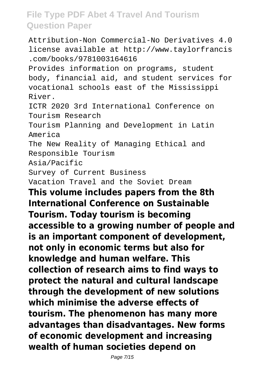Attribution-Non Commercial-No Derivatives 4.0 license available at http://www.taylorfrancis .com/books/9781003164616 Provides information on programs, student body, financial aid, and student services for vocational schools east of the Mississippi River. ICTR 2020 3rd International Conference on Tourism Research Tourism Planning and Development in Latin America The New Reality of Managing Ethical and Responsible Tourism Asia/Pacific Survey of Current Business Vacation Travel and the Soviet Dream **This volume includes papers from the 8th International Conference on Sustainable Tourism. Today tourism is becoming accessible to a growing number of people and is an important component of development, not only in economic terms but also for knowledge and human welfare. This collection of research aims to find ways to protect the natural and cultural landscape through the development of new solutions which minimise the adverse effects of tourism. The phenomenon has many more advantages than disadvantages. New forms of economic development and increasing wealth of human societies depend on**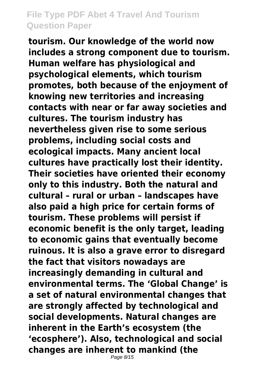**tourism. Our knowledge of the world now includes a strong component due to tourism. Human welfare has physiological and psychological elements, which tourism promotes, both because of the enjoyment of knowing new territories and increasing contacts with near or far away societies and cultures. The tourism industry has nevertheless given rise to some serious problems, including social costs and ecological impacts. Many ancient local cultures have practically lost their identity. Their societies have oriented their economy only to this industry. Both the natural and cultural – rural or urban – landscapes have also paid a high price for certain forms of tourism. These problems will persist if economic benefit is the only target, leading to economic gains that eventually become ruinous. It is also a grave error to disregard the fact that visitors nowadays are increasingly demanding in cultural and environmental terms. The 'Global Change' is a set of natural environmental changes that are strongly affected by technological and social developments. Natural changes are inherent in the Earth's ecosystem (the 'ecosphere'). Also, technological and social changes are inherent to mankind (the**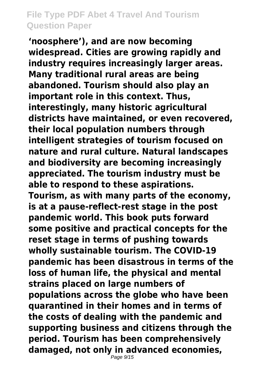**'noosphere'), and are now becoming widespread. Cities are growing rapidly and industry requires increasingly larger areas. Many traditional rural areas are being abandoned. Tourism should also play an important role in this context. Thus, interestingly, many historic agricultural districts have maintained, or even recovered, their local population numbers through intelligent strategies of tourism focused on nature and rural culture. Natural landscapes and biodiversity are becoming increasingly appreciated. The tourism industry must be able to respond to these aspirations. Tourism, as with many parts of the economy, is at a pause-reflect-rest stage in the post pandemic world. This book puts forward some positive and practical concepts for the reset stage in terms of pushing towards wholly sustainable tourism. The COVID-19 pandemic has been disastrous in terms of the loss of human life, the physical and mental strains placed on large numbers of populations across the globe who have been quarantined in their homes and in terms of the costs of dealing with the pandemic and supporting business and citizens through the period. Tourism has been comprehensively damaged, not only in advanced economies,**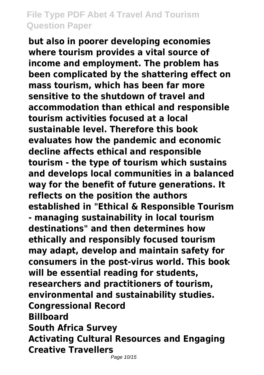**but also in poorer developing economies where tourism provides a vital source of income and employment. The problem has been complicated by the shattering effect on mass tourism, which has been far more sensitive to the shutdown of travel and accommodation than ethical and responsible tourism activities focused at a local sustainable level. Therefore this book evaluates how the pandemic and economic decline affects ethical and responsible tourism - the type of tourism which sustains and develops local communities in a balanced way for the benefit of future generations. It reflects on the position the authors established in "Ethical & Responsible Tourism - managing sustainability in local tourism destinations" and then determines how ethically and responsibly focused tourism may adapt, develop and maintain safety for consumers in the post-virus world. This book will be essential reading for students, researchers and practitioners of tourism, environmental and sustainability studies. Congressional Record Billboard South Africa Survey Activating Cultural Resources and Engaging Creative Travellers**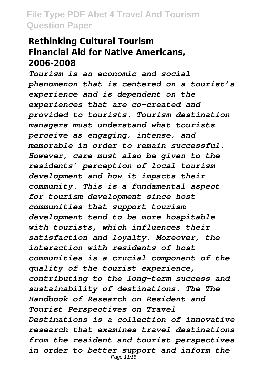#### **Rethinking Cultural Tourism Financial Aid for Native Americans, 2006-2008**

*Tourism is an economic and social phenomenon that is centered on a tourist's experience and is dependent on the experiences that are co-created and provided to tourists. Tourism destination managers must understand what tourists perceive as engaging, intense, and memorable in order to remain successful. However, care must also be given to the residents' perception of local tourism development and how it impacts their community. This is a fundamental aspect for tourism development since host communities that support tourism development tend to be more hospitable with tourists, which influences their satisfaction and loyalty. Moreover, the interaction with residents of host communities is a crucial component of the quality of the tourist experience, contributing to the long-term success and sustainability of destinations. The The Handbook of Research on Resident and Tourist Perspectives on Travel Destinations is a collection of innovative research that examines travel destinations from the resident and tourist perspectives in order to better support and inform the* Page  $11/\overline{15}$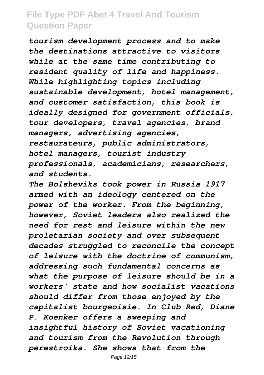*tourism development process and to make the destinations attractive to visitors while at the same time contributing to resident quality of life and happiness. While highlighting topics including sustainable development, hotel management, and customer satisfaction, this book is ideally designed for government officials, tour developers, travel agencies, brand managers, advertising agencies, restaurateurs, public administrators, hotel managers, tourist industry professionals, academicians, researchers, and students.*

*The Bolsheviks took power in Russia 1917 armed with an ideology centered on the power of the worker. From the beginning, however, Soviet leaders also realized the need for rest and leisure within the new proletarian society and over subsequent decades struggled to reconcile the concept of leisure with the doctrine of communism, addressing such fundamental concerns as what the purpose of leisure should be in a workers' state and how socialist vacations should differ from those enjoyed by the capitalist bourgeoisie. In Club Red, Diane P. Koenker offers a sweeping and insightful history of Soviet vacationing and tourism from the Revolution through perestroika. She shows that from the*

Page 12/15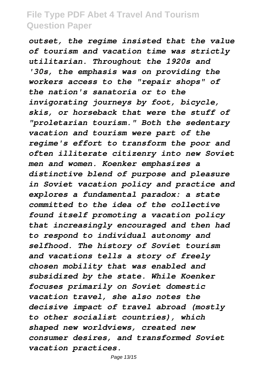*outset, the regime insisted that the value of tourism and vacation time was strictly utilitarian. Throughout the 1920s and '30s, the emphasis was on providing the workers access to the "repair shops" of the nation's sanatoria or to the invigorating journeys by foot, bicycle, skis, or horseback that were the stuff of "proletarian tourism." Both the sedentary vacation and tourism were part of the regime's effort to transform the poor and often illiterate citizenry into new Soviet men and women. Koenker emphasizes a distinctive blend of purpose and pleasure in Soviet vacation policy and practice and explores a fundamental paradox: a state committed to the idea of the collective found itself promoting a vacation policy that increasingly encouraged and then had to respond to individual autonomy and selfhood. The history of Soviet tourism and vacations tells a story of freely chosen mobility that was enabled and subsidized by the state. While Koenker focuses primarily on Soviet domestic vacation travel, she also notes the decisive impact of travel abroad (mostly to other socialist countries), which shaped new worldviews, created new consumer desires, and transformed Soviet vacation practices.*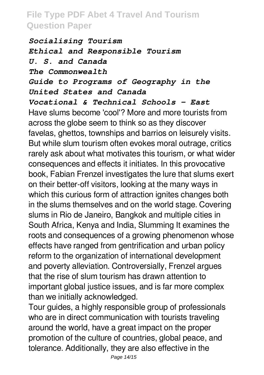*Socialising Tourism Ethical and Responsible Tourism U. S. and Canada The Commonwealth Guide to Programs of Geography in the United States and Canada*

*Vocational & Technical Schools - East* Have slums become 'cool'? More and more tourists from across the globe seem to think so as they discover favelas, ghettos, townships and barrios on leisurely visits. But while slum tourism often evokes moral outrage, critics rarely ask about what motivates this tourism, or what wider consequences and effects it initiates. In this provocative book, Fabian Frenzel investigates the lure that slums exert on their better-off visitors, looking at the many ways in which this curious form of attraction ignites changes both in the slums themselves and on the world stage. Covering slums in Rio de Janeiro, Bangkok and multiple cities in South Africa, Kenya and India, Slumming It examines the roots and consequences of a growing phenomenon whose effects have ranged from gentrification and urban policy reform to the organization of international development and poverty alleviation. Controversially, Frenzel argues that the rise of slum tourism has drawn attention to important global justice issues, and is far more complex than we initially acknowledged.

Tour guides, a highly responsible group of professionals who are in direct communication with tourists traveling around the world, have a great impact on the proper promotion of the culture of countries, global peace, and tolerance. Additionally, they are also effective in the